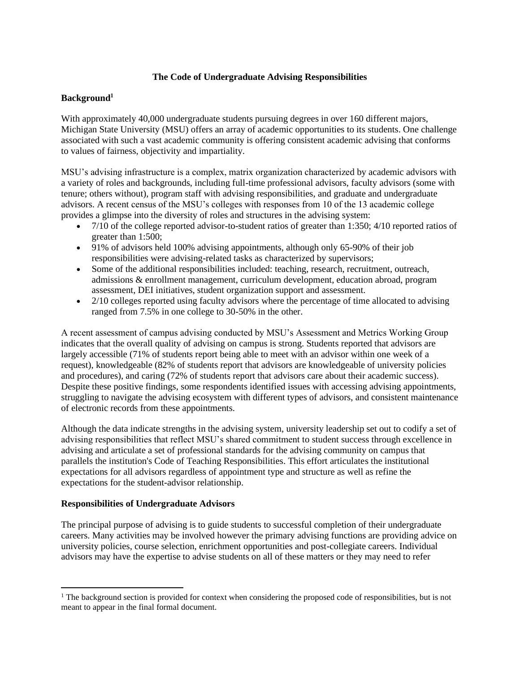# **The Code of Undergraduate Advising Responsibilities**

# **Background<sup>1</sup>**

With approximately 40,000 undergraduate students pursuing degrees in over 160 different majors, Michigan State University (MSU) offers an array of academic opportunities to its students. One challenge associated with such a vast academic community is offering consistent academic advising that conforms to values of fairness, objectivity and impartiality.

MSU's advising infrastructure is a complex, matrix organization characterized by academic advisors with a variety of roles and backgrounds, including full-time professional advisors, faculty advisors (some with tenure; others without), program staff with advising responsibilities, and graduate and undergraduate advisors. A recent census of the MSU's colleges with responses from 10 of the 13 academic college provides a glimpse into the diversity of roles and structures in the advising system:

- 7/10 of the college reported advisor-to-student ratios of greater than 1:350; 4/10 reported ratios of greater than 1:500;
- 91% of advisors held 100% advising appointments, although only 65-90% of their job responsibilities were advising-related tasks as characterized by supervisors;
- Some of the additional responsibilities included: teaching, research, recruitment, outreach, admissions & enrollment management, curriculum development, education abroad, program assessment, DEI initiatives, student organization support and assessment.
- $\bullet$  2/10 colleges reported using faculty advisors where the percentage of time allocated to advising ranged from 7.5% in one college to 30-50% in the other.

A recent assessment of campus advising conducted by MSU's Assessment and Metrics Working Group indicates that the overall quality of advising on campus is strong. Students reported that advisors are largely accessible (71% of students report being able to meet with an advisor within one week of a request), knowledgeable (82% of students report that advisors are knowledgeable of university policies and procedures), and caring (72% of students report that advisors care about their academic success). Despite these positive findings, some respondents identified issues with accessing advising appointments, struggling to navigate the advising ecosystem with different types of advisors, and consistent maintenance of electronic records from these appointments.

Although the data indicate strengths in the advising system, university leadership set out to codify a set of advising responsibilities that reflect MSU's shared commitment to student success through excellence in advising and articulate a set of professional standards for the advising community on campus that parallels the institution's Code of Teaching Responsibilities. This effort articulates the institutional expectations for all advisors regardless of appointment type and structure as well as refine the expectations for the student-advisor relationship.

## **Responsibilities of Undergraduate Advisors**

The principal purpose of advising is to guide students to successful completion of their undergraduate careers. Many activities may be involved however the primary advising functions are providing advice on university policies, course selection, enrichment opportunities and post-collegiate careers. Individual advisors may have the expertise to advise students on all of these matters or they may need to refer

<sup>&</sup>lt;sup>1</sup> The background section is provided for context when considering the proposed code of responsibilities, but is not meant to appear in the final formal document.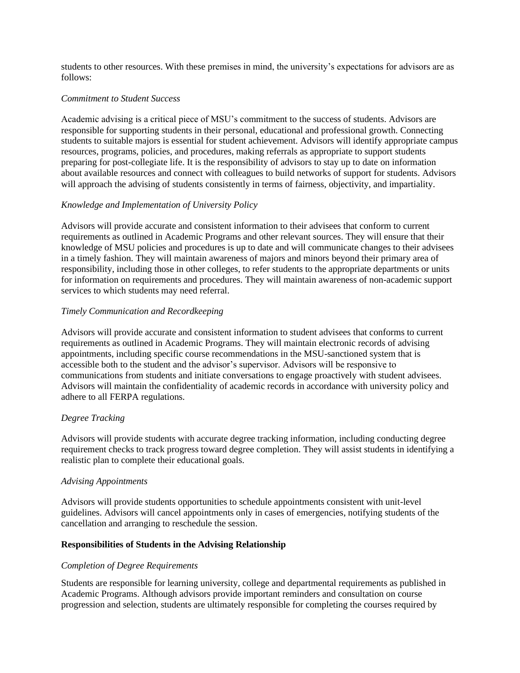students to other resources. With these premises in mind, the university's expectations for advisors are as follows:

### *Commitment to Student Success*

Academic advising is a critical piece of MSU's commitment to the success of students. Advisors are responsible for supporting students in their personal, educational and professional growth. Connecting students to suitable majors is essential for student achievement. Advisors will identify appropriate campus resources, programs, policies, and procedures, making referrals as appropriate to support students preparing for post-collegiate life. It is the responsibility of advisors to stay up to date on information about available resources and connect with colleagues to build networks of support for students. Advisors will approach the advising of students consistently in terms of fairness, objectivity, and impartiality.

## *Knowledge and Implementation of University Policy*

Advisors will provide accurate and consistent information to their advisees that conform to current requirements as outlined in Academic Programs and other relevant sources. They will ensure that their knowledge of MSU policies and procedures is up to date and will communicate changes to their advisees in a timely fashion. They will maintain awareness of majors and minors beyond their primary area of responsibility, including those in other colleges, to refer students to the appropriate departments or units for information on requirements and procedures. They will maintain awareness of non-academic support services to which students may need referral.

## *Timely Communication and Recordkeeping*

Advisors will provide accurate and consistent information to student advisees that conforms to current requirements as outlined in Academic Programs. They will maintain electronic records of advising appointments, including specific course recommendations in the MSU-sanctioned system that is accessible both to the student and the advisor's supervisor. Advisors will be responsive to communications from students and initiate conversations to engage proactively with student advisees. Advisors will maintain the confidentiality of academic records in accordance with university policy and adhere to all FERPA regulations.

## *Degree Tracking*

Advisors will provide students with accurate degree tracking information, including conducting degree requirement checks to track progress toward degree completion. They will assist students in identifying a realistic plan to complete their educational goals.

#### *Advising Appointments*

Advisors will provide students opportunities to schedule appointments consistent with unit-level guidelines. Advisors will cancel appointments only in cases of emergencies, notifying students of the cancellation and arranging to reschedule the session.

## **Responsibilities of Students in the Advising Relationship**

#### *Completion of Degree Requirements*

Students are responsible for learning university, college and departmental requirements as published in Academic Programs. Although advisors provide important reminders and consultation on course progression and selection, students are ultimately responsible for completing the courses required by